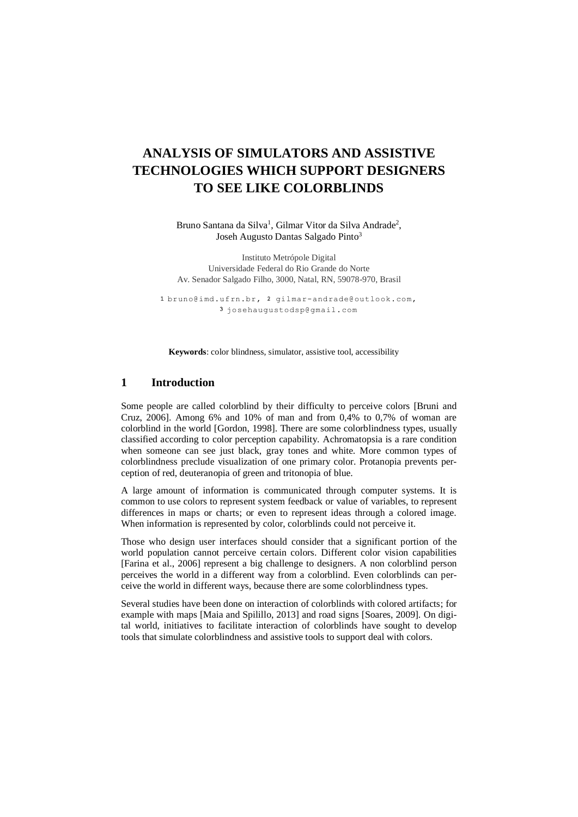# **ANALYSIS OF SIMULATORS AND ASSISTIVE TECHNOLOGIES WHICH SUPPORT DESIGNERS TO SEE LIKE COLORBLINDS**

Bruno Santana da Silva<sup>1</sup>, Gilmar Vitor da Silva Andrade<sup>2</sup>, Joseh Augusto Dantas Salgado Pinto<sup>3</sup>

Instituto Metrópole Digital Universidade Federal do Rio Grande do Norte Av. Senador Salgado Filho, 3000, Natal, RN, 59078-970, Brasil

1bruno@imd.ufrn.br, 2 gilmar-andrade@outlook.com, josehaugustodsp@gmail.com

**Keywords**: color blindness, simulator, assistive tool, accessibility

### **1 Introduction**

Some people are called colorblind by their difficulty to perceive colors [Bruni and Cruz, 2006]. Among 6% and 10% of man and from 0,4% to 0,7% of woman are colorblind in the world [Gordon, 1998]. There are some colorblindness types, usually classified according to color perception capability. Achromatopsia is a rare condition when someone can see just black, gray tones and white. More common types of colorblindness preclude visualization of one primary color. Protanopia prevents perception of red, deuteranopia of green and tritonopia of blue.

A large amount of information is communicated through computer systems. It is common to use colors to represent system feedback or value of variables, to represent differences in maps or charts; or even to represent ideas through a colored image. When information is represented by color, colorblinds could not perceive it.

Those who design user interfaces should consider that a significant portion of the world population cannot perceive certain colors. Different color vision capabilities [Farina et al., 2006] represent a big challenge to designers. A non colorblind person perceives the world in a different way from a colorblind. Even colorblinds can perceive the world in different ways, because there are some colorblindness types.

Several studies have been done on interaction of colorblinds with colored artifacts; for example with maps [Maia and Spilillo, 2013] and road signs [Soares, 2009]. On digital world, initiatives to facilitate interaction of colorblinds have sought to develop tools that simulate colorblindness and assistive tools to support deal with colors.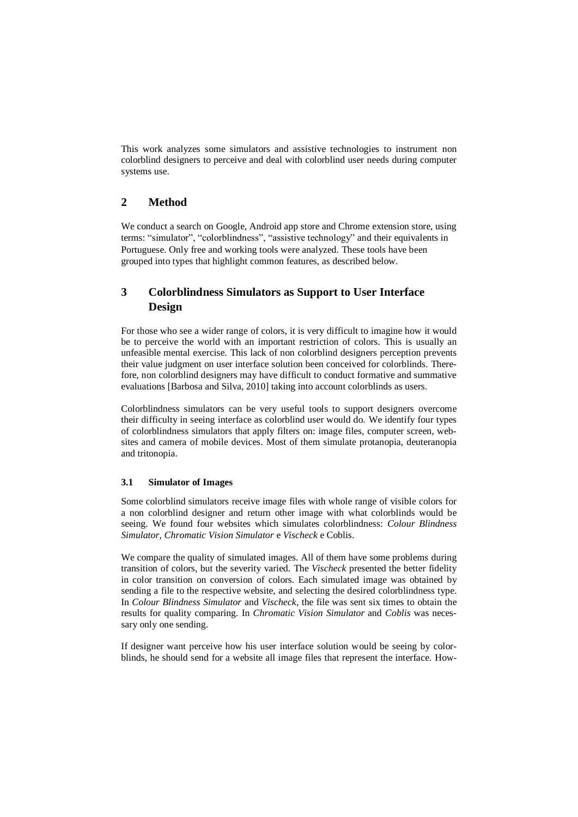This work analyzes some simulators and assistive technologies to instrument non colorblind designers to perceive and deal with colorblind user needs during computer systems use.

### **2 Method**

We conduct a search on Google, Android app store and Chrome extension store, using terms: "simulator", "colorblindness", "assistive technology" and their equivalents in Portuguese. Only free and working tools were analyzed. These tools have been grouped into types that highlight common features, as described below.

# **3 Colorblindness Simulators as Support to User Interface Design**

For those who see a wider range of colors, it is very difficult to imagine how it would be to perceive the world with an important restriction of colors. This is usually an unfeasible mental exercise. This lack of non colorblind designers perception prevents their value judgment on user interface solution been conceived for colorblinds. Therefore, non colorblind designers may have difficult to conduct formative and summative evaluations [Barbosa and Silva, 2010] taking into account colorblinds as users.

Colorblindness simulators can be very useful tools to support designers overcome their difficulty in seeing interface as colorblind user would do. We identify four types of colorblindness simulators that apply filters on: image files, computer screen, websites and camera of mobile devices. Most of them simulate protanopia, deuteranopia and tritonopia.

#### **3.1 Simulator of Images**

Some colorblind simulators receive image files with whole range of visible colors for a non colorblind designer and return other image with what colorblinds would be seeing. We found four websites which simulates colorblindness: *Colour Blindness Simulator*, *Chromatic Vision Simulator* e *Vischeck* e Coblis.

We compare the quality of simulated images. All of them have some problems during transition of colors, but the severity varied. The *Vischeck* presented the better fidelity in color transition on conversion of colors. Each simulated image was obtained by sending a file to the respective website, and selecting the desired colorblindness type. In *Colour Blindness Simulator* and *Vischeck*, the file was sent six times to obtain the results for quality comparing. In *Chromatic Vision Simulator* and *Coblis* was necessary only one sending.

If designer want perceive how his user interface solution would be seeing by colorblinds, he should send for a website all image files that represent the interface. How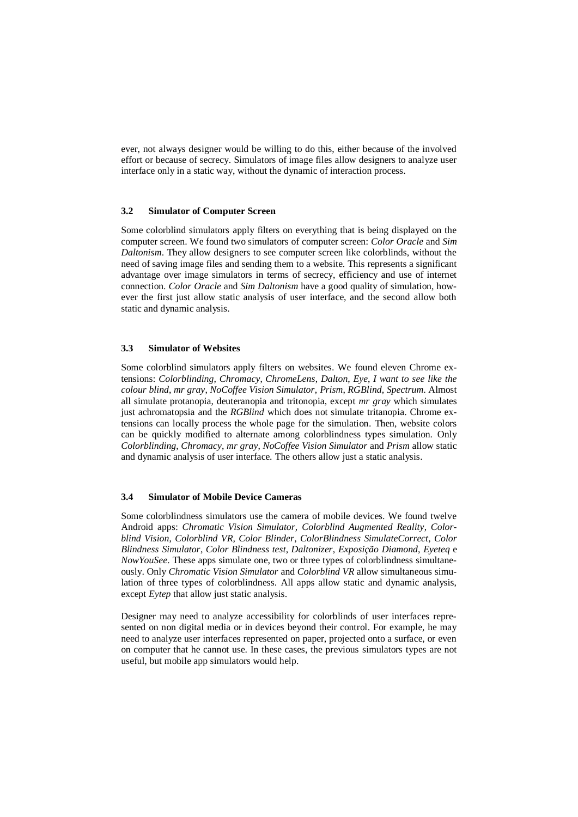ever, not always designer would be willing to do this, either because of the involved effort or because of secrecy. Simulators of image files allow designers to analyze user interface only in a static way, without the dynamic of interaction process.

#### **3.2 Simulator of Computer Screen**

Some colorblind simulators apply filters on everything that is being displayed on the computer screen. We found two simulators of computer screen: *Color Oracle* and *Sim Daltonism*. They allow designers to see computer screen like colorblinds, without the need of saving image files and sending them to a website. This represents a significant advantage over image simulators in terms of secrecy, efficiency and use of internet connection. *Color Oracle* and *Sim Daltonism* have a good quality of simulation, however the first just allow static analysis of user interface, and the second allow both static and dynamic analysis.

#### **3.3 Simulator of Websites**

Some colorblind simulators apply filters on websites. We found eleven Chrome extensions: *Colorblinding*, *Chromacy*, *ChromeLens*, *Dalton*, *Eye*, *I want to see like the colour blind*, *mr gray*, *NoCoffee Vision Simulator*, *Prism*, *RGBlind*, *Spectrum*. Almost all simulate protanopia, deuteranopia and tritonopia, except *mr gray* which simulates just achromatopsia and the *RGBlind* which does not simulate tritanopia. Chrome extensions can locally process the whole page for the simulation. Then, website colors can be quickly modified to alternate among colorblindness types simulation. Only *Colorblinding*, *Chromacy*, *mr gray*, *NoCoffee Vision Simulator* and *Prism* allow static and dynamic analysis of user interface. The others allow just a static analysis.

#### **3.4 Simulator of Mobile Device Cameras**

Some colorblindness simulators use the camera of mobile devices. We found twelve Android apps: *Chromatic Vision Simulator, Colorblind Augmented Reality*, *Colorblind Vision*, *Colorblind VR, Color Blinder*, *ColorBlindness SimulateCorrect*, *Color Blindness Simulator*, *Color Blindness test*, *Daltonizer*, *Exposição Diamond*, *Eyeteq* e *NowYouSee*. These apps simulate one, two or three types of colorblindness simultaneously. Only *Chromatic Vision Simulator* and *Colorblind VR* allow simultaneous simulation of three types of colorblindness. All apps allow static and dynamic analysis, except *Eytep* that allow just static analysis.

Designer may need to analyze accessibility for colorblinds of user interfaces represented on non digital media or in devices beyond their control. For example, he may need to analyze user interfaces represented on paper, projected onto a surface, or even on computer that he cannot use. In these cases, the previous simulators types are not useful, but mobile app simulators would help.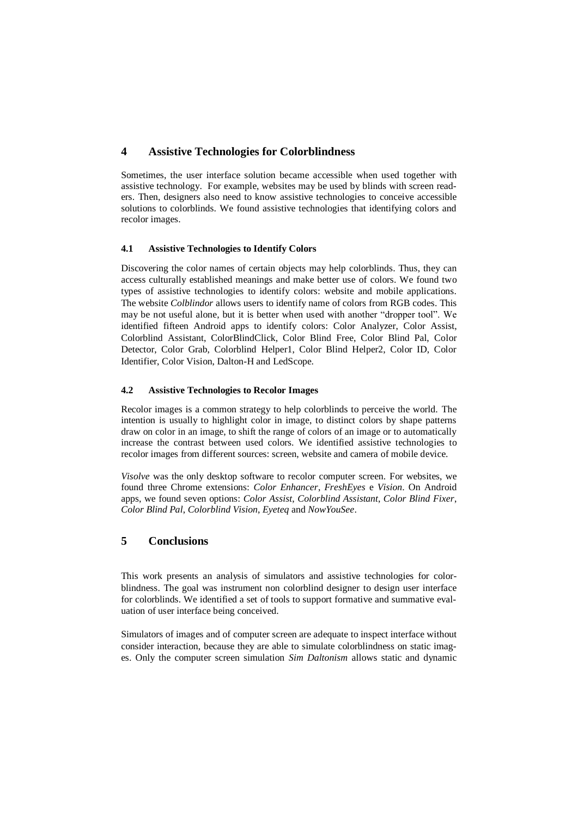## **4 Assistive Technologies for Colorblindness**

Sometimes, the user interface solution became accessible when used together with assistive technology. For example, websites may be used by blinds with screen readers. Then, designers also need to know assistive technologies to conceive accessible solutions to colorblinds. We found assistive technologies that identifying colors and recolor images.

### **4.1 Assistive Technologies to Identify Colors**

Discovering the color names of certain objects may help colorblinds. Thus, they can access culturally established meanings and make better use of colors. We found two types of assistive technologies to identify colors: website and mobile applications. The website *Colblindor* allows users to identify name of colors from RGB codes. This may be not useful alone, but it is better when used with another "dropper tool". We identified fifteen Android apps to identify colors: Color Analyzer, Color Assist, Colorblind Assistant, ColorBlindClick, Color Blind Free, Color Blind Pal, Color Detector, Color Grab, Colorblind Helper1, Color Blind Helper2, Color ID, Color Identifier, Color Vision, Dalton-H and LedScope.

#### **4.2 Assistive Technologies to Recolor Images**

Recolor images is a common strategy to help colorblinds to perceive the world. The intention is usually to highlight color in image, to distinct colors by shape patterns draw on color in an image, to shift the range of colors of an image or to automatically increase the contrast between used colors. We identified assistive technologies to recolor images from different sources: screen, website and camera of mobile device.

*Visolve* was the only desktop software to recolor computer screen. For websites, we found three Chrome extensions: *Color Enhancer*, *FreshEyes* e *Vision*. On Android apps, we found seven options: *Color Assist*, *Colorblind Assistant*, *Color Blind Fixer*, *Color Blind Pal*, *Colorblind Vision*, *Eyeteq* and *NowYouSee*.

# **5 Conclusions**

This work presents an analysis of simulators and assistive technologies for colorblindness. The goal was instrument non colorblind designer to design user interface for colorblinds. We identified a set of tools to support formative and summative evaluation of user interface being conceived.

Simulators of images and of computer screen are adequate to inspect interface without consider interaction, because they are able to simulate colorblindness on static images. Only the computer screen simulation *Sim Daltonism* allows static and dynamic